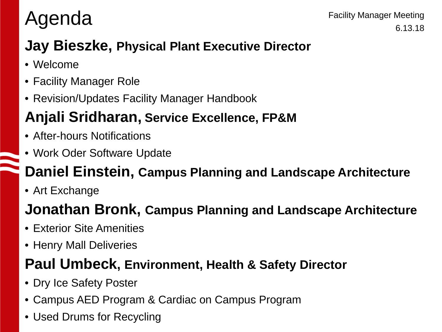# Agenda

### **Jay Bieszke, Physical Plant Executive Director**

- Welcome
- Facility Manager Role
- Revision/Updates Facility Manager Handbook

### **Anjali Sridharan, Service Excellence, FP&M**

- After-hours Notifications
- Work Oder Software Update

### **Daniel Einstein, Campus Planning and Landscape Architecture**

• Art Exchange

### **Jonathan Bronk, Campus Planning and Landscape Architecture**

- Exterior Site Amenities
- Henry Mall Deliveries

#### **Paul Umbeck, Environment, Health & Safety Director**

- Dry Ice Safety Poster
- Campus AED Program & Cardiac on Campus Program
- Used Drums for Recycling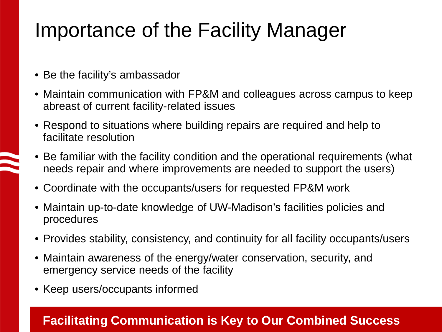## Importance of the Facility Manager

- Be the facility's ambassador
- Maintain communication with FP&M and colleagues across campus to keep abreast of current facility-related issues
- Respond to situations where building repairs are required and help to facilitate resolution
- Be familiar with the facility condition and the operational requirements (what needs repair and where improvements are needed to support the users)
- Coordinate with the occupants/users for requested FP&M work
- Maintain up-to-date knowledge of UW-Madison's facilities policies and procedures
- Provides stability, consistency, and continuity for all facility occupants/users
- Maintain awareness of the energy/water conservation, security, and emergency service needs of the facility
- Keep users/occupants informed

#### **Facilitating Communication is Key to Our Combined Success**